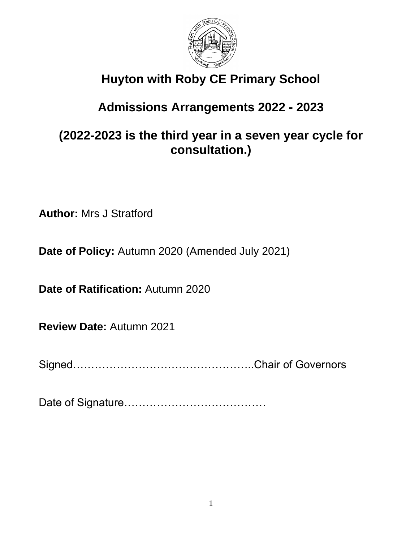

# **Huyton with Roby CE Primary School**

# **Admissions Arrangements 2022 - 2023**

# **(2022-2023 is the third year in a seven year cycle for consultation.)**

**Author:** Mrs J Stratford

**Date of Policy:** Autumn 2020 (Amended July 2021)

**Date of Ratification:** Autumn 2020

**Review Date:** Autumn 2021

Signed…………………………………………..Chair of Governors

Date of Signature…………………………………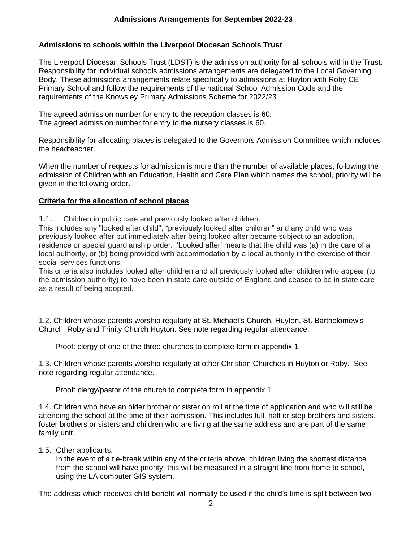## **Admissions to schools within the Liverpool Diocesan Schools Trust**

The Liverpool Diocesan Schools Trust (LDST) is the admission authority for all schools within the Trust. Responsibility for individual schools admissions arrangements are delegated to the Local Governing Body. These admissions arrangements relate specifically to admissions at Huyton with Roby CE Primary School and follow the requirements of the national School Admission Code and the requirements of the Knowsley Primary Admissions Scheme for 2022/23

The agreed admission number for entry to the reception classes is 60. The agreed admission number for entry to the nursery classes is 60.

Responsibility for allocating places is delegated to the Governors Admission Committee which includes the headteacher.

When the number of requests for admission is more than the number of available places, following the admission of Children with an Education, Health and Care Plan which names the school, priority will be given in the following order.

### **Criteria for the allocation of school places**

1.1. Children in public care and previously looked after children.

This includes any "looked after child", "previously looked after children" and any child who was previously looked after but immediately after being looked after became subject to an adoption, residence or special guardianship order. 'Looked after' means that the child was (a) in the care of a local authority, or (b) being provided with accommodation by a local authority in the exercise of their social services functions.

This criteria also includes looked after children and all previously looked after children who appear (to the admission authority) to have been in state care outside of England and ceased to be in state care as a result of being adopted.

1.2. Children whose parents worship regularly at St. Michael's Church, Huyton, St. Bartholomew's Church Roby and Trinity Church Huyton. See note regarding regular attendance.

Proof: clergy of one of the three churches to complete form in appendix 1

1.3. Children whose parents worship regularly at other Christian Churches in Huyton or Roby. See note regarding regular attendance.

Proof: clergy/pastor of the church to complete form in appendix 1

1.4. Children who have an older brother or sister on roll at the time of application and who will still be attending the school at the time of their admission. This includes full, half or step brothers and sisters, foster brothers or sisters and children who are living at the same address and are part of the same family unit.

#### 1.5. Other applicants.

In the event of a tie-break within any of the criteria above, children living the shortest distance from the school will have priority; this will be measured in a straight line from home to school, using the LA computer GIS system.

The address which receives child benefit will normally be used if the child's time is split between two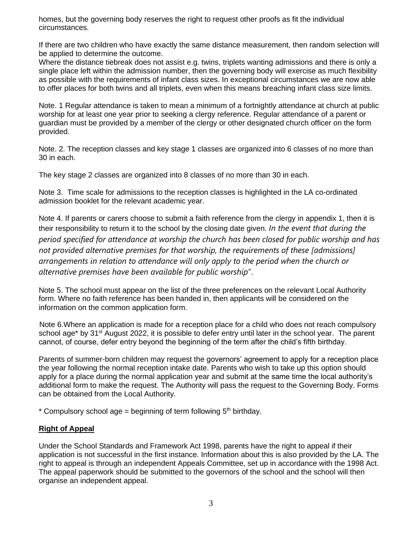homes, but the governing body reserves the right to request other proofs as fit the individual circumstances.

If there are two children who have exactly the same distance measurement, then random selection will be applied to determine the outcome.

Where the distance tiebreak does not assist e.g. twins, triplets wanting admissions and there is only a single place left within the admission number, then the governing body will exercise as much flexibility as possible with the requirements of infant class sizes. In exceptional circumstances we are now able to offer places for both twins and all triplets, even when this means breaching infant class size limits.

Note. 1 Regular attendance is taken to mean a minimum of a fortnightly attendance at church at public worship for at least one year prior to seeking a clergy reference. Regular attendance of a parent or guardian must be provided by a member of the clergy or other designated church officer on the form provided.

Note. 2. The reception classes and key stage 1 classes are organized into 6 classes of no more than 30 in each.

The key stage 2 classes are organized into 8 classes of no more than 30 in each.

Note 3. Time scale for admissions to the reception classes is highlighted in the LA co-ordinated admission booklet for the relevant academic year.

Note 4. If parents or carers choose to submit a faith reference from the clergy in appendix 1, then it is their responsibility to return it to the school by the closing date given. *In the event that during the period specified for attendance at worship the church has been closed for public worship and has not provided alternative premises for that worship, the requirements of these [admissions] arrangements in relation to attendance will only apply to the period when the church or alternative premises have been available for public worship*".

Note 5. The school must appear on the list of the three preferences on the relevant Local Authority form. Where no faith reference has been handed in, then applicants will be considered on the information on the common application form.

 Note 6.Where an application is made for a reception place for a child who does not reach compulsory school age\* by 31<sup>st</sup> August 2022, it is possible to defer entry until later in the school year. The parent cannot, of course, defer entry beyond the beginning of the term after the child's fifth birthday.

Parents of summer-born children may request the governors' agreement to apply for a reception place the year following the normal reception intake date. Parents who wish to take up this option should apply for a place during the normal application year and submit at the same time the local authority's additional form to make the request. The Authority will pass the request to the Governing Body. Forms can be obtained from the Local Authority.

\* Compulsory school age = beginning of term following  $5<sup>th</sup>$  birthday.

#### **Right of Appeal**

Under the School Standards and Framework Act 1998, parents have the right to appeal if their application is not successful in the first instance. Information about this is also provided by the LA. The right to appeal is through an independent Appeals Committee, set up in accordance with the 1998 Act. The appeal paperwork should be submitted to the governors of the school and the school will then organise an independent appeal.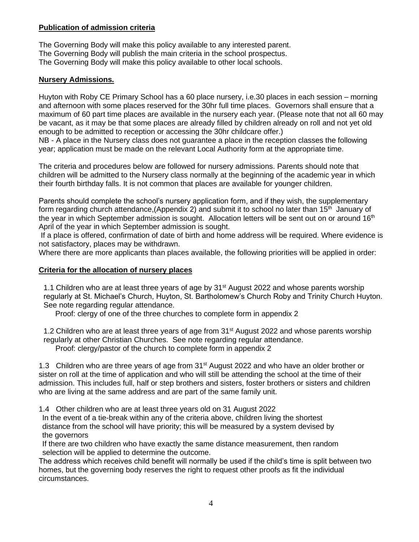#### **Publication of admission criteria**

The Governing Body will make this policy available to any interested parent. The Governing Body will publish the main criteria in the school prospectus. The Governing Body will make this policy available to other local schools.

### **Nursery Admissions.**

Huyton with Roby CE Primary School has a 60 place nursery, i.e.30 places in each session – morning and afternoon with some places reserved for the 30hr full time places. Governors shall ensure that a maximum of 60 part time places are available in the nursery each year. (Please note that not all 60 may be vacant, as it may be that some places are already filled by children already on roll and not yet old enough to be admitted to reception or accessing the 30hr childcare offer.)

NB - A place in the Nursery class does not guarantee a place in the reception classes the following year; application must be made on the relevant Local Authority form at the appropriate time.

The criteria and procedures below are followed for nursery admissions. Parents should note that children will be admitted to the Nursery class normally at the beginning of the academic year in which their fourth birthday falls. It is not common that places are available for younger children.

Parents should complete the school's nursery application form, and if they wish, the supplementary form regarding church attendance, (Appendix 2) and submit it to school no later than 15<sup>th</sup> January of the year in which September admission is sought. Allocation letters will be sent out on or around  $16<sup>th</sup>$ April of the year in which September admission is sought.

If a place is offered, confirmation of date of birth and home address will be required. Where evidence is not satisfactory, places may be withdrawn.

Where there are more applicants than places available, the following priorities will be applied in order:

#### **Criteria for the allocation of nursery places**

1.1 Children who are at least three years of age by  $31<sup>st</sup>$  August 2022 and whose parents worship regularly at St. Michael's Church, Huyton, St. Bartholomew's Church Roby and Trinity Church Huyton. See note regarding regular attendance.

Proof: clergy of one of the three churches to complete form in appendix 2

1.2 Children who are at least three years of age from 31<sup>st</sup> August 2022 and whose parents worship regularly at other Christian Churches. See note regarding regular attendance. Proof: clergy/pastor of the church to complete form in appendix 2

1.3 Children who are three years of age from 31<sup>st</sup> August 2022 and who have an older brother or sister on roll at the time of application and who will still be attending the school at the time of their admission. This includes full, half or step brothers and sisters, foster brothers or sisters and children who are living at the same address and are part of the same family unit.

1.4 Other children who are at least three years old on 31 August 2022

 In the event of a tie-break within any of the criteria above, children living the shortest distance from the school will have priority; this will be measured by a system devised by the governors

 If there are two children who have exactly the same distance measurement, then random selection will be applied to determine the outcome.

The address which receives child benefit will normally be used if the child's time is split between two homes, but the governing body reserves the right to request other proofs as fit the individual circumstances.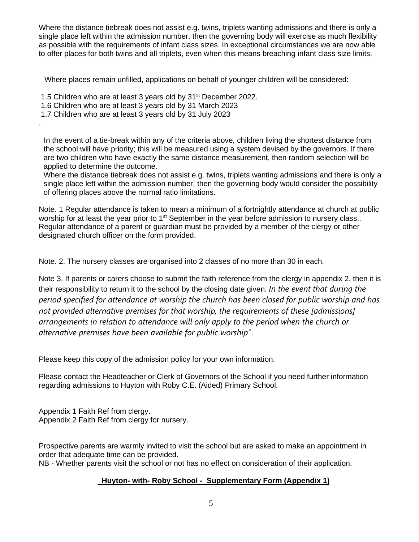Where the distance tiebreak does not assist e.g. twins, triplets wanting admissions and there is only a single place left within the admission number, then the governing body will exercise as much flexibility as possible with the requirements of infant class sizes. In exceptional circumstances we are now able to offer places for both twins and all triplets, even when this means breaching infant class size limits.

Where places remain unfilled, applications on behalf of younger children will be considered:

1.5 Children who are at least 3 years old by 31<sup>st</sup> December 2022.

1.6 Children who are at least 3 years old by 31 March 2023

1.7 Children who are at least 3 years old by 31 July 2023

.

 In the event of a tie-break within any of the criteria above, children living the shortest distance from the school will have priority; this will be measured using a system devised by the governors. If there are two children who have exactly the same distance measurement, then random selection will be applied to determine the outcome.

Where the distance tiebreak does not assist e.g. twins, triplets wanting admissions and there is only a single place left within the admission number, then the governing body would consider the possibility of offering places above the normal ratio limitations.

Note. 1 Regular attendance is taken to mean a minimum of a fortnightly attendance at church at public worship for at least the year prior to  $1<sup>st</sup>$  September in the year before admission to nursery class.. Regular attendance of a parent or guardian must be provided by a member of the clergy or other designated church officer on the form provided.

Note. 2. The nursery classes are organised into 2 classes of no more than 30 in each.

Note 3. If parents or carers choose to submit the faith reference from the clergy in appendix 2, then it is their responsibility to return it to the school by the closing date given. *In the event that during the period specified for attendance at worship the church has been closed for public worship and has not provided alternative premises for that worship, the requirements of these [admissions] arrangements in relation to attendance will only apply to the period when the church or alternative premises have been available for public worship*".

Please keep this copy of the admission policy for your own information.

Please contact the Headteacher or Clerk of Governors of the School if you need further information regarding admissions to Huyton with Roby C.E. (Aided) Primary School.

Appendix 1 Faith Ref from clergy. Appendix 2 Faith Ref from clergy for nursery.

Prospective parents are warmly invited to visit the school but are asked to make an appointment in order that adequate time can be provided.

NB - Whether parents visit the school or not has no effect on consideration of their application.

#### **Huyton- with- Roby School - Supplementary Form (Appendix 1)**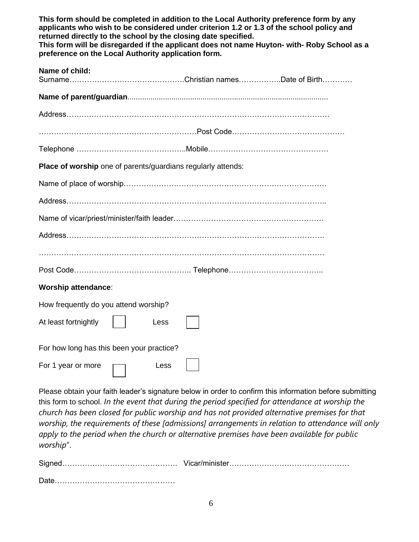| This form should be completed in addition to the Local Authority preference form by any<br>applicants who wish to be considered under criterion 1.2 or 1.3 of the school policy and<br>returned directly to the school by the closing date specified.<br>This form will be disregarded if the applicant does not name Huyton- with- Roby School as a<br>preference on the Local Authority application form. |  |  |  |
|-------------------------------------------------------------------------------------------------------------------------------------------------------------------------------------------------------------------------------------------------------------------------------------------------------------------------------------------------------------------------------------------------------------|--|--|--|
| Name of child:                                                                                                                                                                                                                                                                                                                                                                                              |  |  |  |
|                                                                                                                                                                                                                                                                                                                                                                                                             |  |  |  |
|                                                                                                                                                                                                                                                                                                                                                                                                             |  |  |  |
|                                                                                                                                                                                                                                                                                                                                                                                                             |  |  |  |
|                                                                                                                                                                                                                                                                                                                                                                                                             |  |  |  |
| Place of worship one of parents/guardians regularly attends:                                                                                                                                                                                                                                                                                                                                                |  |  |  |
|                                                                                                                                                                                                                                                                                                                                                                                                             |  |  |  |
|                                                                                                                                                                                                                                                                                                                                                                                                             |  |  |  |
|                                                                                                                                                                                                                                                                                                                                                                                                             |  |  |  |
|                                                                                                                                                                                                                                                                                                                                                                                                             |  |  |  |
|                                                                                                                                                                                                                                                                                                                                                                                                             |  |  |  |
|                                                                                                                                                                                                                                                                                                                                                                                                             |  |  |  |
| <b>Worship attendance:</b>                                                                                                                                                                                                                                                                                                                                                                                  |  |  |  |
| How frequently do you attend worship?                                                                                                                                                                                                                                                                                                                                                                       |  |  |  |
| At least fortnightly     Less                                                                                                                                                                                                                                                                                                                                                                               |  |  |  |
| For how long has this been your practice?                                                                                                                                                                                                                                                                                                                                                                   |  |  |  |
| For 1 year or more<br>Less                                                                                                                                                                                                                                                                                                                                                                                  |  |  |  |

Please obtain your faith leader's signature below in order to confirm this information before submitting this form to school. *In the event that during the period specified for attendance at worship the church has been closed for public worship and has not provided alternative premises for that worship, the requirements of these [admissions] arrangements in relation to attendance will only apply to the period when the church or alternative premises have been available for public worship*".

| Date. |  |
|-------|--|